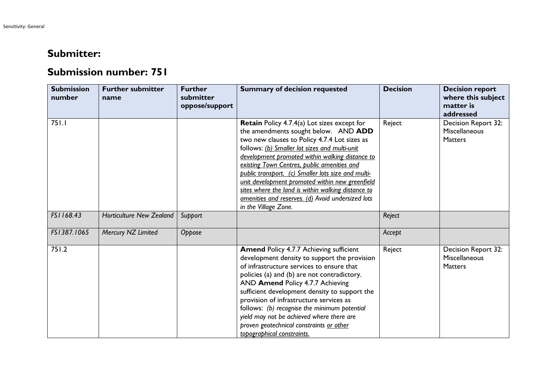## **Submitter:**

## **Submission number: 751**

| <b>Submission</b><br>number | <b>Further submitter</b><br>name | <b>Further</b><br>submitter<br>oppose/support | <b>Summary of decision requested</b>                                                                                                                                                                                                                                                                                                                                                                                                                                                                                                      | <b>Decision</b> | <b>Decision report</b><br>where this subject<br>matter is<br>addressed |
|-----------------------------|----------------------------------|-----------------------------------------------|-------------------------------------------------------------------------------------------------------------------------------------------------------------------------------------------------------------------------------------------------------------------------------------------------------------------------------------------------------------------------------------------------------------------------------------------------------------------------------------------------------------------------------------------|-----------------|------------------------------------------------------------------------|
| 751.1                       |                                  |                                               | <b>Retain</b> Policy 4.7.4(a) Lot sizes except for<br>the amendments sought below. AND ADD<br>two new clauses to Policy 4.7.4 Lot sizes as<br>follows: (b) Smaller lot sizes and multi-unit<br>development promoted within walking distance to<br>existing Town Centres, public amenities and<br>public transport. (c) Smaller lots size and multi-<br>unit development promoted within new greenfield<br>sites where the land is within walking distance to<br>amenities and reserves. (d) Avoid undersized lots<br>in the Village Zone. | Reject          | Decision Report 32:<br>Miscellaneous<br><b>Matters</b>                 |
| FS1168.43                   | <b>Horticulture New Zealand</b>  | Support                                       |                                                                                                                                                                                                                                                                                                                                                                                                                                                                                                                                           | Reject          |                                                                        |
| FS1387.1065                 | Mercury NZ Limited               | Oppose                                        |                                                                                                                                                                                                                                                                                                                                                                                                                                                                                                                                           | Accept          |                                                                        |
| 751.2                       |                                  |                                               | <b>Amend Policy 4.7.7 Achieving sufficient</b><br>development density to support the provision<br>of infrastructure services to ensure that<br>policies (a) and (b) are not contradictory.<br>AND Amend Policy 4.7.7 Achieving<br>sufficient development density to support the<br>provision of infrastructure services as<br>follows: (b) recognise the minimum potential<br>yield may not be achieved where there are<br>proven geotechnical constraints or other<br>topographical constraints.                                         | Reject          | Decision Report 32:<br>Miscellaneous<br><b>Matters</b>                 |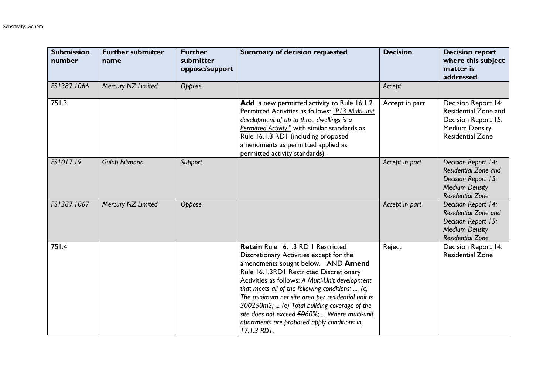| <b>Submission</b><br>number | <b>Further submitter</b><br>name | <b>Further</b><br>submitter<br>oppose/support | <b>Summary of decision requested</b>                                                                                                                                                                                                                                                                                                                                                                                                                                                       | <b>Decision</b> | <b>Decision report</b><br>where this subject<br>matter is<br>addressed                                                        |
|-----------------------------|----------------------------------|-----------------------------------------------|--------------------------------------------------------------------------------------------------------------------------------------------------------------------------------------------------------------------------------------------------------------------------------------------------------------------------------------------------------------------------------------------------------------------------------------------------------------------------------------------|-----------------|-------------------------------------------------------------------------------------------------------------------------------|
| FS1387.1066                 | Mercury NZ Limited               | Oppose                                        |                                                                                                                                                                                                                                                                                                                                                                                                                                                                                            | Accept          |                                                                                                                               |
| 751.3                       |                                  |                                               | Add a new permitted activity to Rule 16.1.2<br>Permitted Activities as follows: "P13 Multi-unit<br>development of up to three dwellings is a<br>Permitted Activity." with similar standards as<br>Rule 16.1.3 RD1 (including proposed<br>amendments as permitted applied as<br>permitted activity standards).                                                                                                                                                                              | Accept in part  | Decision Report 14:<br>Residential Zone and<br>Decision Report 15:<br><b>Medium Density</b><br><b>Residential Zone</b>        |
| FS1017.19                   | Gulab Bilimoria                  | Support                                       |                                                                                                                                                                                                                                                                                                                                                                                                                                                                                            | Accept in part  | Decision Report 14:<br><b>Residential Zone and</b><br>Decision Report 15:<br><b>Medium Density</b><br><b>Residential Zone</b> |
| FS1387.1067                 | Mercury NZ Limited               | Oppose                                        |                                                                                                                                                                                                                                                                                                                                                                                                                                                                                            | Accept in part  | Decision Report 14:<br><b>Residential Zone and</b><br>Decision Report 15:<br><b>Medium Density</b><br><b>Residential Zone</b> |
| 751.4                       |                                  |                                               | Retain Rule 16.1.3 RD   Restricted<br>Discretionary Activities except for the<br>amendments sought below. AND Amend<br>Rule 16.1.3RD1 Restricted Discretionary<br>Activities as follows: A Multi-Unit development<br>that meets all of the following conditions:  (c)<br>The minimum net site area per residential unit is<br>300250m2;  (e) Total building coverage of the<br>site does not exceed 5060%;  Where multi-unit<br>apartments are proposed apply conditions in<br>17.1.3 RD1. | Reject          | Decision Report 14:<br><b>Residential Zone</b>                                                                                |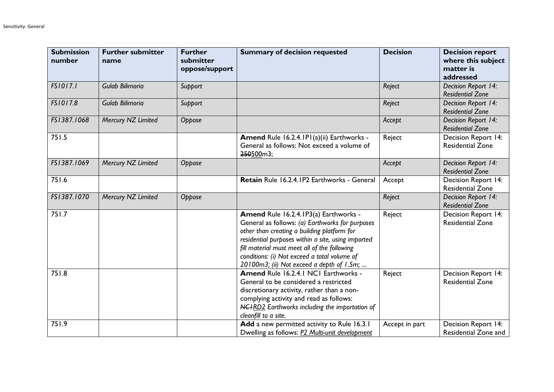| <b>Submission</b><br>number | <b>Further submitter</b><br>name | <b>Further</b><br>submitter<br>oppose/support | <b>Summary of decision requested</b>                                                                                                                                                                                                                                                                                                       | <b>Decision</b> | <b>Decision report</b><br>where this subject<br>matter is<br>addressed |
|-----------------------------|----------------------------------|-----------------------------------------------|--------------------------------------------------------------------------------------------------------------------------------------------------------------------------------------------------------------------------------------------------------------------------------------------------------------------------------------------|-----------------|------------------------------------------------------------------------|
| FS1017.1                    | Gulab Bilimoria                  | Support                                       |                                                                                                                                                                                                                                                                                                                                            | Reject          | Decision Report 14:<br><b>Residential Zone</b>                         |
| FS1017.8                    | Gulab Bilimoria                  | Support                                       |                                                                                                                                                                                                                                                                                                                                            | Reject          | Decision Report 14:<br><b>Residential Zone</b>                         |
| FS1387.1068                 | Mercury NZ Limited               | Oppose                                        |                                                                                                                                                                                                                                                                                                                                            | Accept          | Decision Report 14:<br><b>Residential Zone</b>                         |
| 751.5                       |                                  |                                               | Amend Rule 16.2.4.1P1(a)(ii) Earthworks -<br>General as follows: Not exceed a volume of<br>250500m3;                                                                                                                                                                                                                                       | Reject          | <b>Decision Report 14:</b><br><b>Residential Zone</b>                  |
| FS1387.1069                 | Mercury NZ Limited               | Oppose                                        |                                                                                                                                                                                                                                                                                                                                            | Accept          | Decision Report 14:<br><b>Residential Zone</b>                         |
| 751.6                       |                                  |                                               | Retain Rule 16.2.4.1P2 Earthworks - General                                                                                                                                                                                                                                                                                                | Accept          | Decision Report 14:<br><b>Residential Zone</b>                         |
| FS1387.1070                 | Mercury NZ Limited               | Oppose                                        |                                                                                                                                                                                                                                                                                                                                            | Reject          | Decision Report 14:<br><b>Residential Zone</b>                         |
| 751.7                       |                                  |                                               | Amend Rule 16.2.4.1P3(a) Earthworks -<br>General as follows: (a) Earthworks for purposes<br>other than creating a building platform for<br>residential purposes within a site, using imported<br>fill material must meet all of the following<br>conditions: (i) Not exceed a total volume of<br>20100m3; (ii) Not exceed a depth of 1.5m; | Reject          | <b>Decision Report 14:</b><br><b>Residential Zone</b>                  |
| 751.8                       |                                  |                                               | Amend Rule 16.2.4.1 NCI Earthworks -<br>General to be considered a restricted<br>discretionary activity, rather than a non-<br>complying activity and read as follows:<br><b>NCIRD2</b> Earthworks including the importation of<br>cleanfill to a site.                                                                                    | Reject          | <b>Decision Report 14:</b><br><b>Residential Zone</b>                  |
| 751.9                       |                                  |                                               | Add a new permitted activity to Rule 16.3.1<br>Dwelling as follows: P2 Multi-unit development                                                                                                                                                                                                                                              | Accept in part  | Decision Report 14:<br>Residential Zone and                            |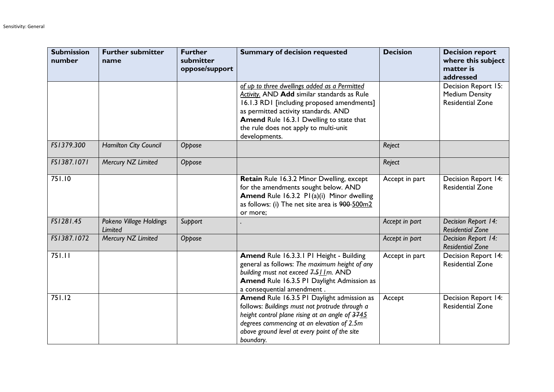| <b>Submission</b><br>number | <b>Further submitter</b><br>name          | <b>Further</b><br>submitter<br>oppose/support | <b>Summary of decision requested</b>                                                                                                                                                                                                                                                            | <b>Decision</b> | <b>Decision report</b><br>where this subject<br>matter is<br>addressed  |
|-----------------------------|-------------------------------------------|-----------------------------------------------|-------------------------------------------------------------------------------------------------------------------------------------------------------------------------------------------------------------------------------------------------------------------------------------------------|-----------------|-------------------------------------------------------------------------|
|                             |                                           |                                               | of up to three dwellings added as a Permitted<br><b>Activity.</b> AND Add similar standards as Rule<br>16.1.3 RD1 [including proposed amendments]<br>as permitted activity standards. AND<br>Amend Rule 16.3.1 Dwelling to state that<br>the rule does not apply to multi-unit<br>developments. |                 | Decision Report 15:<br><b>Medium Density</b><br><b>Residential Zone</b> |
| FS1379.300                  | <b>Hamilton City Council</b>              | Oppose                                        |                                                                                                                                                                                                                                                                                                 | Reject          |                                                                         |
| FS1387.1071                 | Mercury NZ Limited                        | Oppose                                        |                                                                                                                                                                                                                                                                                                 | Reject          |                                                                         |
| 751.10                      |                                           |                                               | Retain Rule 16.3.2 Minor Dwelling, except<br>for the amendments sought below. AND<br>Amend Rule 16.3.2 P1(a)(i) Minor dwelling<br>as follows: (i) The net site area is 900-500m2<br>or more;                                                                                                    | Accept in part  | Decision Report 14:<br><b>Residential Zone</b>                          |
| FS1281.45                   | Pokeno Village Holdings<br><b>Limited</b> | Support                                       |                                                                                                                                                                                                                                                                                                 | Accept in part  | Decision Report 14:<br><b>Residential Zone</b>                          |
| FS1387.1072                 | Mercury NZ Limited                        | Oppose                                        |                                                                                                                                                                                                                                                                                                 | Accept in part  | Decision Report 14:<br><b>Residential Zone</b>                          |
| 751.11                      |                                           |                                               | Amend Rule 16.3.3.1 P1 Height - Building<br>general as follows: The maximum height of any<br>building must not exceed 7.511m. AND<br><b>Amend Rule 16.3.5 P1 Daylight Admission as</b><br>a consequential amendment.                                                                            | Accept in part  | <b>Decision Report 14:</b><br><b>Residential Zone</b>                   |
| 751.12                      |                                           |                                               | Amend Rule 16.3.5 PI Daylight admission as<br>follows: Buildings must not protrude through a<br>height control plane rising at an angle of 3745<br>degrees commencing at an elevation of 2.5m<br>above ground level at every point of the site<br>boundary.                                     | Accept          | Decision Report 14:<br><b>Residential Zone</b>                          |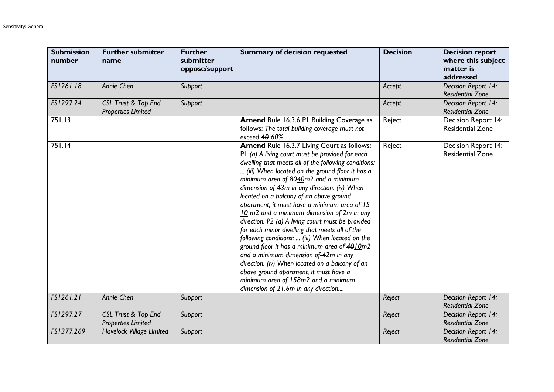| <b>Submission</b><br>number | <b>Further submitter</b><br>name                 | <b>Further</b><br>submitter<br>oppose/support | <b>Summary of decision requested</b>                                                                                                                                                                                                                                                                                                                                                                                                                                                                                                                                                                                                                                                                                                                                                                                                                                                       | <b>Decision</b> | <b>Decision report</b><br>where this subject<br>matter is<br>addressed |
|-----------------------------|--------------------------------------------------|-----------------------------------------------|--------------------------------------------------------------------------------------------------------------------------------------------------------------------------------------------------------------------------------------------------------------------------------------------------------------------------------------------------------------------------------------------------------------------------------------------------------------------------------------------------------------------------------------------------------------------------------------------------------------------------------------------------------------------------------------------------------------------------------------------------------------------------------------------------------------------------------------------------------------------------------------------|-----------------|------------------------------------------------------------------------|
| FS1261.18                   | Annie Chen                                       | Support                                       |                                                                                                                                                                                                                                                                                                                                                                                                                                                                                                                                                                                                                                                                                                                                                                                                                                                                                            | Accept          | Decision Report 14:<br><b>Residential Zone</b>                         |
| FS1297.24                   | CSL Trust & Top End<br><b>Properties Limited</b> | Support                                       |                                                                                                                                                                                                                                                                                                                                                                                                                                                                                                                                                                                                                                                                                                                                                                                                                                                                                            | Accept          | Decision Report 14:<br><b>Residential Zone</b>                         |
| 751.13                      |                                                  |                                               | Amend Rule 16.3.6 PI Building Coverage as<br>follows: The total building coverage must not<br>exceed 40 60%.                                                                                                                                                                                                                                                                                                                                                                                                                                                                                                                                                                                                                                                                                                                                                                               | Reject          | Decision Report 14:<br><b>Residential Zone</b>                         |
| 751.14                      |                                                  |                                               | <b>Amend Rule 16.3.7 Living Court as follows:</b><br>P1 (a) A living court must be provided for each<br>dwelling that meets all of the following conditions:<br>(iii) When located on the ground floor it has a<br>minimum area of 8040m2 and a minimum<br>dimension of $43m$ in any direction. (iv) When<br>located on a balcony of an above ground<br>apartment, it must have a minimum area of $+5$<br>10 m2 and a minimum dimension of 2m in any<br>direction. P2 (a) A living couirt must be provided<br>for each minor dwelling that meets all of the<br>following conditions:  (iii) When located on the<br>ground floor it has a minimum area of 4010m2<br>and a minimum dimension of $42m$ in any<br>direction. (iv) When located on a balcony of an<br>above ground apartment, it must have a<br>minimum area of $+58$ m2 and a minimum<br>dimension of $21.6m$ in any direction | Reject          | Decision Report 14:<br><b>Residential Zone</b>                         |
| FS1261.21                   | Annie Chen                                       | Support                                       |                                                                                                                                                                                                                                                                                                                                                                                                                                                                                                                                                                                                                                                                                                                                                                                                                                                                                            | Reject          | Decision Report 14:<br><b>Residential Zone</b>                         |
| FS1297.27                   | CSL Trust & Top End<br><b>Properties Limited</b> | Support                                       |                                                                                                                                                                                                                                                                                                                                                                                                                                                                                                                                                                                                                                                                                                                                                                                                                                                                                            | Reject          | Decision Report 14:<br><b>Residential Zone</b>                         |
| FS1377.269                  | Havelock Village Limited                         | Support                                       |                                                                                                                                                                                                                                                                                                                                                                                                                                                                                                                                                                                                                                                                                                                                                                                                                                                                                            | Reject          | Decision Report 14:<br><b>Residential Zone</b>                         |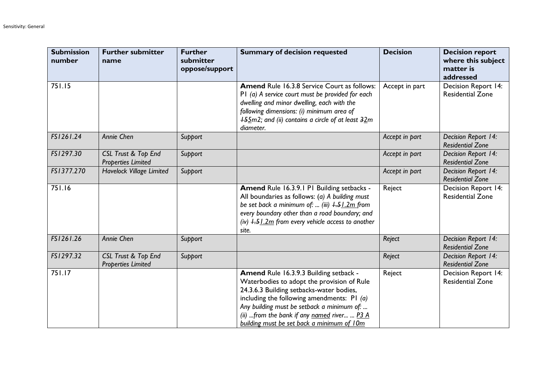| <b>Submission</b><br>number | <b>Further submitter</b><br>name                 | <b>Further</b><br>submitter<br>oppose/support | <b>Summary of decision requested</b>                                                                                                                                                                                                                                                                                        | <b>Decision</b> | <b>Decision report</b><br>where this subject<br>matter is<br>addressed |
|-----------------------------|--------------------------------------------------|-----------------------------------------------|-----------------------------------------------------------------------------------------------------------------------------------------------------------------------------------------------------------------------------------------------------------------------------------------------------------------------------|-----------------|------------------------------------------------------------------------|
| 751.15                      |                                                  |                                               | <b>Amend Rule 16.3.8 Service Court as follows:</b><br>P1 (a) A service court must be provided for each<br>dwelling and minor dwelling, each with the<br>following dimensions: (i) minimum area of<br><b>+5.5m2</b> ; and (ii) contains a circle of at least 32m<br>diameter.                                                | Accept in part  | Decision Report 14:<br><b>Residential Zone</b>                         |
| FS1261.24                   | Annie Chen                                       | Support                                       |                                                                                                                                                                                                                                                                                                                             | Accept in part  | Decision Report 14:<br><b>Residential Zone</b>                         |
| FS1297.30                   | CSL Trust & Top End<br><b>Properties Limited</b> | Support                                       |                                                                                                                                                                                                                                                                                                                             | Accept in part  | Decision Report 14:<br><b>Residential Zone</b>                         |
| FS1377.270                  | <b>Havelock Village Limited</b>                  | Support                                       |                                                                                                                                                                                                                                                                                                                             | Accept in part  | Decision Report 14:<br><b>Residential Zone</b>                         |
| 751.16                      |                                                  |                                               | Amend Rule 16.3.9.1 P1 Building setbacks -<br>All boundaries as follows: (a) A building must<br>be set back a minimum of:  (iii) $+51.2m$ from<br>every boundary other than a road boundary; and<br>(iv) $\frac{1.51}{2m}$ from every vehicle access to another<br>site.                                                    | Reject          | Decision Report 14:<br><b>Residential Zone</b>                         |
| FS1261.26                   | Annie Chen                                       | Support                                       |                                                                                                                                                                                                                                                                                                                             | Reject          | Decision Report 14:<br><b>Residential Zone</b>                         |
| FS1297.32                   | CSL Trust & Top End<br><b>Properties Limited</b> | Support                                       |                                                                                                                                                                                                                                                                                                                             | Reject          | Decision Report 14:<br><b>Residential Zone</b>                         |
| 751.17                      |                                                  |                                               | Amend Rule 16.3.9.3 Building setback -<br>Waterbodies to adopt the provision of Rule<br>24.3.6.3 Building setbacks-water bodies,<br>including the following amendments: $PI(a)$<br>Any building must be setback a minimum of:<br>(ii)  from the bank if any named river  P3 A<br>building must be set back a minimum of 10m | Reject          | <b>Decision Report 14:</b><br><b>Residential Zone</b>                  |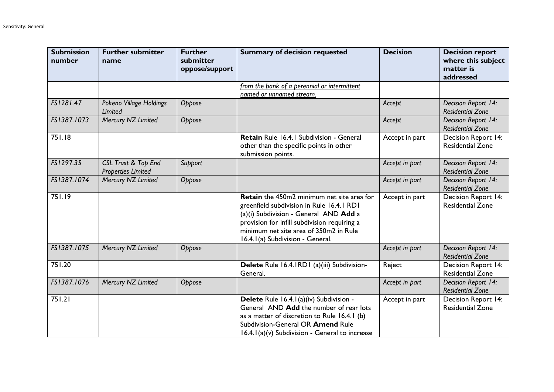| <b>Submission</b><br>number | <b>Further submitter</b><br>name                 | <b>Further</b><br>submitter<br>oppose/support | <b>Summary of decision requested</b>                                                                                                                                                                                                                            | <b>Decision</b> | <b>Decision report</b><br>where this subject<br>matter is<br>addressed |
|-----------------------------|--------------------------------------------------|-----------------------------------------------|-----------------------------------------------------------------------------------------------------------------------------------------------------------------------------------------------------------------------------------------------------------------|-----------------|------------------------------------------------------------------------|
|                             |                                                  |                                               | from the bank of a perennial or intermittent<br>named or unnamed stream.                                                                                                                                                                                        |                 |                                                                        |
| FS1281.47                   | Pokeno Village Holdings<br><b>Limited</b>        | Oppose                                        |                                                                                                                                                                                                                                                                 | Accept          | Decision Report 14:<br><b>Residential Zone</b>                         |
| FS1387.1073                 | Mercury NZ Limited                               | Oppose                                        |                                                                                                                                                                                                                                                                 | Accept          | Decision Report 14:<br><b>Residential Zone</b>                         |
| 751.18                      |                                                  |                                               | Retain Rule 16.4.1 Subdivision - General<br>other than the specific points in other<br>submission points.                                                                                                                                                       | Accept in part  | Decision Report 14:<br><b>Residential Zone</b>                         |
| FS1297.35                   | CSL Trust & Top End<br><b>Properties Limited</b> | Support                                       |                                                                                                                                                                                                                                                                 | Accept in part  | Decision Report 14:<br><b>Residential Zone</b>                         |
| FS1387.1074                 | Mercury NZ Limited                               | Oppose                                        |                                                                                                                                                                                                                                                                 | Accept in part  | Decision Report 14:<br><b>Residential Zone</b>                         |
| 751.19                      |                                                  |                                               | Retain the 450m2 minimum net site area for<br>greenfield subdivision in Rule 16.4.1 RD1<br>(a)(i) Subdivision - General AND Add a<br>provision for infill subdivision requiring a<br>minimum net site area of 350m2 in Rule<br>16.4.1(a) Subdivision - General. | Accept in part  | Decision Report 14:<br><b>Residential Zone</b>                         |
| FS1387.1075                 | Mercury NZ Limited                               | Oppose                                        |                                                                                                                                                                                                                                                                 | Accept in part  | Decision Report 14:<br><b>Residential Zone</b>                         |
| 751.20                      |                                                  |                                               | Delete Rule 16.4.1RD1 (a)(iii) Subdivision-<br>General.                                                                                                                                                                                                         | Reject          | Decision Report 14:<br><b>Residential Zone</b>                         |
| FS1387.1076                 | Mercury NZ Limited                               | Oppose                                        |                                                                                                                                                                                                                                                                 | Accept in part  | Decision Report 14:<br><b>Residential Zone</b>                         |
| 751.21                      |                                                  |                                               | Delete Rule 16.4.1(a)(iv) Subdivision -<br>General AND Add the number of rear lots<br>as a matter of discretion to Rule 16.4.1 (b)<br>Subdivision-General OR Amend Rule<br>16.4.1(a)(v) Subdivision - General to increase                                       | Accept in part  | Decision Report 14:<br><b>Residential Zone</b>                         |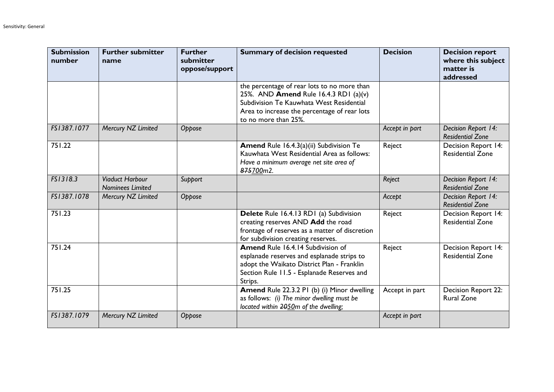| <b>Submission</b><br>number | <b>Further submitter</b><br>name                  | <b>Further</b><br>submitter<br>oppose/support | <b>Summary of decision requested</b>                                                                                                                                                                     | <b>Decision</b> | <b>Decision report</b><br>where this subject<br>matter is<br>addressed |
|-----------------------------|---------------------------------------------------|-----------------------------------------------|----------------------------------------------------------------------------------------------------------------------------------------------------------------------------------------------------------|-----------------|------------------------------------------------------------------------|
|                             |                                                   |                                               | the percentage of rear lots to no more than<br>25%. AND Amend Rule 16.4.3 RD1 (a)(v)<br>Subdivision Te Kauwhata West Residential<br>Area to increase the percentage of rear lots<br>to no more than 25%. |                 |                                                                        |
| FS1387.1077                 | Mercury NZ Limited                                | Oppose                                        |                                                                                                                                                                                                          | Accept in part  | Decision Report 14:<br><b>Residential Zone</b>                         |
| 751.22                      |                                                   |                                               | Amend Rule 16.4.3(a)(ii) Subdivision Te<br>Kauwhata West Residential Area as follows:<br>Have a minimum average net site area of<br>875700m2.                                                            | Reject          | Decision Report 14:<br><b>Residential Zone</b>                         |
| FS1318.3                    | <b>Viaduct Harbour</b><br><b>Nominees Limited</b> | Support                                       |                                                                                                                                                                                                          | Reject          | Decision Report 14:<br><b>Residential Zone</b>                         |
| FS1387.1078                 | Mercury NZ Limited                                | Oppose                                        |                                                                                                                                                                                                          | Accept          | Decision Report 14:<br><b>Residential Zone</b>                         |
| 751.23                      |                                                   |                                               | Delete Rule 16.4.13 RD1 (a) Subdivision<br>creating reserves AND Add the road<br>frontage of reserves as a matter of discretion<br>for subdivision creating reserves.                                    | Reject          | Decision Report 14:<br><b>Residential Zone</b>                         |
| 751.24                      |                                                   |                                               | <b>Amend Rule 16.4.14 Subdivision of</b><br>esplanade reserves and esplanade strips to<br>adopt the Waikato District Plan - Franklin<br>Section Rule 11.5 - Esplanade Reserves and<br>Strips.            | Reject          | Decision Report 14:<br><b>Residential Zone</b>                         |
| 751.25                      |                                                   |                                               | Amend Rule 22.3.2 PI (b) (i) Minor dwelling<br>as follows: (i) The minor dwelling must be<br>located within 2050m of the dwelling;                                                                       | Accept in part  | Decision Report 22:<br><b>Rural Zone</b>                               |
| FS1387.1079                 | Mercury NZ Limited                                | Oppose                                        |                                                                                                                                                                                                          | Accept in part  |                                                                        |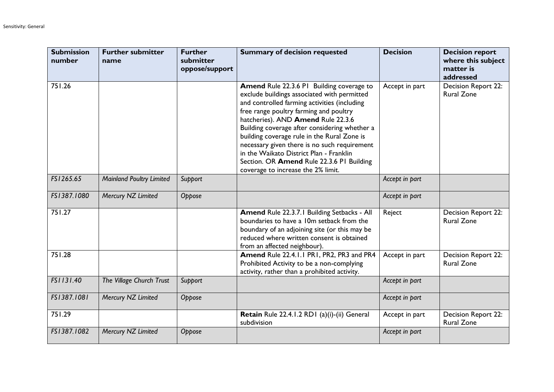| <b>Submission</b><br>number | <b>Further submitter</b><br>name | <b>Further</b><br>submitter<br>oppose/support | <b>Summary of decision requested</b>                                                                                                                                                                                                                                                                                                                                                                                                                                                                   | <b>Decision</b> | <b>Decision report</b><br>where this subject<br>matter is<br>addressed |
|-----------------------------|----------------------------------|-----------------------------------------------|--------------------------------------------------------------------------------------------------------------------------------------------------------------------------------------------------------------------------------------------------------------------------------------------------------------------------------------------------------------------------------------------------------------------------------------------------------------------------------------------------------|-----------------|------------------------------------------------------------------------|
| 751.26                      |                                  |                                               | Amend Rule 22.3.6 PI Building coverage to<br>exclude buildings associated with permitted<br>and controlled farming activities (including<br>free range poultry farming and poultry<br>hatcheries). AND Amend Rule 22.3.6<br>Building coverage after considering whether a<br>building coverage rule in the Rural Zone is<br>necessary given there is no such requirement<br>in the Waikato District Plan - Franklin<br>Section. OR Amend Rule 22.3.6 PI Building<br>coverage to increase the 2% limit. | Accept in part  | Decision Report 22:<br><b>Rural Zone</b>                               |
| FS1265.65                   | <b>Mainland Poultry Limited</b>  | Support                                       |                                                                                                                                                                                                                                                                                                                                                                                                                                                                                                        | Accept in part  |                                                                        |
| FS1387.1080                 | Mercury NZ Limited               | Oppose                                        |                                                                                                                                                                                                                                                                                                                                                                                                                                                                                                        | Accept in part  |                                                                        |
| 751.27                      |                                  |                                               | Amend Rule 22.3.7.1 Building Setbacks - All<br>boundaries to have a 10m setback from the<br>boundary of an adjoining site (or this may be<br>reduced where written consent is obtained<br>from an affected neighbour).                                                                                                                                                                                                                                                                                 | Reject          | Decision Report 22:<br><b>Rural Zone</b>                               |
| 751.28                      |                                  |                                               | Amend Rule 22.4.1.1 PR1, PR2, PR3 and PR4<br>Prohibited Activity to be a non-complying<br>activity, rather than a prohibited activity.                                                                                                                                                                                                                                                                                                                                                                 | Accept in part  | Decision Report 22:<br><b>Rural Zone</b>                               |
| FS1131.40                   | The Village Church Trust         | Support                                       |                                                                                                                                                                                                                                                                                                                                                                                                                                                                                                        | Accept in part  |                                                                        |
| FS1387.1081                 | Mercury NZ Limited               | Oppose                                        |                                                                                                                                                                                                                                                                                                                                                                                                                                                                                                        | Accept in part  |                                                                        |
| 751.29                      |                                  |                                               | Retain Rule 22.4.1.2 RD1 (a)(i)-(ii) General<br>subdivision                                                                                                                                                                                                                                                                                                                                                                                                                                            | Accept in part  | Decision Report 22:<br><b>Rural Zone</b>                               |
| FS1387.1082                 | Mercury NZ Limited               | Oppose                                        |                                                                                                                                                                                                                                                                                                                                                                                                                                                                                                        | Accept in part  |                                                                        |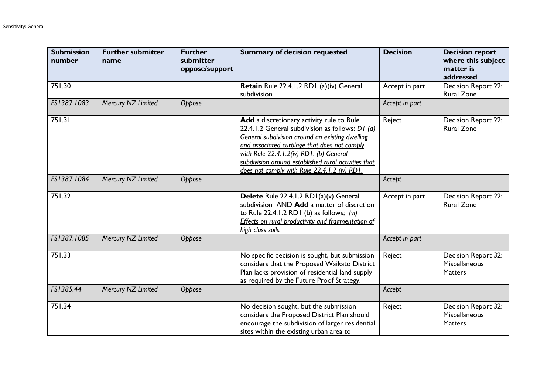| <b>Submission</b><br>number | <b>Further submitter</b><br>name | <b>Further</b><br>submitter<br>oppose/support | <b>Summary of decision requested</b>                                                                                                                                                                                                                                                                                                                              | <b>Decision</b> | <b>Decision report</b><br>where this subject<br>matter is<br>addressed |
|-----------------------------|----------------------------------|-----------------------------------------------|-------------------------------------------------------------------------------------------------------------------------------------------------------------------------------------------------------------------------------------------------------------------------------------------------------------------------------------------------------------------|-----------------|------------------------------------------------------------------------|
| 751.30                      |                                  |                                               | Retain Rule 22.4.1.2 RD1 (a)(iv) General<br>subdivision                                                                                                                                                                                                                                                                                                           | Accept in part  | Decision Report 22:<br><b>Rural Zone</b>                               |
| FS1387.1083                 | Mercury NZ Limited               | Oppose                                        |                                                                                                                                                                                                                                                                                                                                                                   | Accept in part  |                                                                        |
| 751.31                      |                                  |                                               | Add a discretionary activity rule to Rule<br>22.4.1.2 General subdivision as follows: $\underline{D1}$ (a)<br>General subdivision around an existing dwelling<br>and associated curtilage that does not comply<br>with Rule 22.4.1.2(iv) RD1. (b) General<br>subdivision around established rural activities that<br>does not comply with Rule 22.4.1.2 (iv) RD1. | Reject          | Decision Report 22:<br><b>Rural Zone</b>                               |
| FS1387.1084                 | Mercury NZ Limited               | Oppose                                        |                                                                                                                                                                                                                                                                                                                                                                   | Accept          |                                                                        |
| 751.32                      |                                  |                                               | Delete Rule 22.4.1.2 RD1(a)(v) General<br>subdivision AND Add a matter of discretion<br>to Rule 22.4.1.2 RD1 (b) as follows; $(vi)$<br>Effects on rural productivity and fragmentation of<br>high class soils.                                                                                                                                                    | Accept in part  | Decision Report 22:<br><b>Rural Zone</b>                               |
| FS1387.1085                 | Mercury NZ Limited               | Oppose                                        |                                                                                                                                                                                                                                                                                                                                                                   | Accept in part  |                                                                        |
| 751.33                      |                                  |                                               | No specific decision is sought, but submission<br>considers that the Proposed Waikato District<br>Plan lacks provision of residential land supply<br>as required by the Future Proof Strategy.                                                                                                                                                                    | Reject          | Decision Report 32:<br>Miscellaneous<br><b>Matters</b>                 |
| FS1385.44                   | Mercury NZ Limited               | Oppose                                        |                                                                                                                                                                                                                                                                                                                                                                   | Accept          |                                                                        |
| 751.34                      |                                  |                                               | No decision sought, but the submission<br>considers the Proposed District Plan should<br>encourage the subdivision of larger residential<br>sites within the existing urban area to                                                                                                                                                                               | Reject          | Decision Report 32:<br>Miscellaneous<br><b>Matters</b>                 |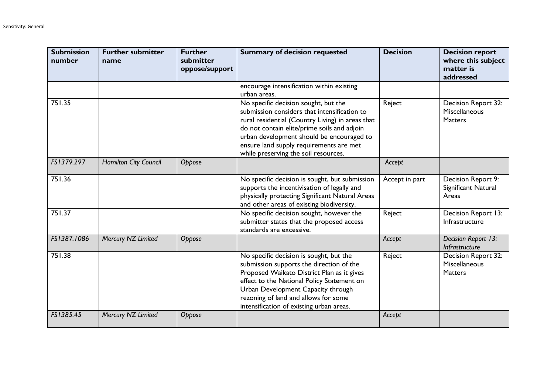| <b>Submission</b><br>number | <b>Further submitter</b><br>name | <b>Further</b><br>submitter<br>oppose/support | <b>Summary of decision requested</b>                                                                                                                                                                                                                                                                                    | <b>Decision</b> | <b>Decision report</b><br>where this subject<br>matter is<br>addressed |
|-----------------------------|----------------------------------|-----------------------------------------------|-------------------------------------------------------------------------------------------------------------------------------------------------------------------------------------------------------------------------------------------------------------------------------------------------------------------------|-----------------|------------------------------------------------------------------------|
|                             |                                  |                                               | encourage intensification within existing<br>urban areas.                                                                                                                                                                                                                                                               |                 |                                                                        |
| 751.35                      |                                  |                                               | No specific decision sought, but the<br>submission considers that intensification to<br>rural residential (Country Living) in areas that<br>do not contain elite/prime soils and adjoin<br>urban development should be encouraged to<br>ensure land supply requirements are met<br>while preserving the soil resources. | Reject          | Decision Report 32:<br>Miscellaneous<br><b>Matters</b>                 |
| FS1379.297                  | Hamilton City Council            | Oppose                                        |                                                                                                                                                                                                                                                                                                                         | Accept          |                                                                        |
| 751.36                      |                                  |                                               | No specific decision is sought, but submission<br>supports the incentivisation of legally and<br>physically protecting Significant Natural Areas<br>and other areas of existing biodiversity.                                                                                                                           | Accept in part  | Decision Report 9:<br>Significant Natural<br>Areas                     |
| 751.37                      |                                  |                                               | No specific decision sought, however the<br>submitter states that the proposed access<br>standards are excessive.                                                                                                                                                                                                       | Reject          | Decision Report 13:<br>Infrastructure                                  |
| FS1387.1086                 | Mercury NZ Limited               | Oppose                                        |                                                                                                                                                                                                                                                                                                                         | Accept          | Decision Report 13:<br>Infrastructure                                  |
| 751.38                      |                                  |                                               | No specific decision is sought, but the<br>submission supports the direction of the<br>Proposed Waikato District Plan as it gives<br>effect to the National Policy Statement on<br>Urban Development Capacity through<br>rezoning of land and allows for some<br>intensification of existing urban areas.               | Reject          | Decision Report 32:<br>Miscellaneous<br><b>Matters</b>                 |
| FS1385.45                   | Mercury NZ Limited               | Oppose                                        |                                                                                                                                                                                                                                                                                                                         | Accept          |                                                                        |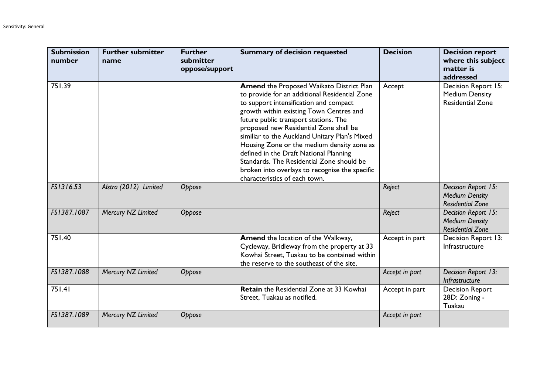| <b>Submission</b><br>number | <b>Further submitter</b><br>name | <b>Further</b><br>submitter<br>oppose/support | <b>Summary of decision requested</b>                                                                                                                                                                                                                                                                                                                                                                                                                                                                                                              | <b>Decision</b> | <b>Decision report</b><br>where this subject<br>matter is<br>addressed  |
|-----------------------------|----------------------------------|-----------------------------------------------|---------------------------------------------------------------------------------------------------------------------------------------------------------------------------------------------------------------------------------------------------------------------------------------------------------------------------------------------------------------------------------------------------------------------------------------------------------------------------------------------------------------------------------------------------|-----------------|-------------------------------------------------------------------------|
| 751.39                      |                                  |                                               | <b>Amend the Proposed Waikato District Plan</b><br>to provide for an additional Residential Zone<br>to support intensification and compact<br>growth within existing Town Centres and<br>future public transport stations. The<br>proposed new Residential Zone shall be<br>similiar to the Auckland Unitary Plan's Mixed<br>Housing Zone or the medium density zone as<br>defined in the Draft National Planning<br>Standards. The Residential Zone should be<br>broken into overlays to recognise the specific<br>characteristics of each town. | Accept          | Decision Report 15:<br><b>Medium Density</b><br><b>Residential Zone</b> |
| FS1316.53                   | Alstra (2012) Limited            | Oppose                                        |                                                                                                                                                                                                                                                                                                                                                                                                                                                                                                                                                   | Reject          | Decision Report 15:<br><b>Medium Density</b><br><b>Residential Zone</b> |
| FS1387.1087                 | Mercury NZ Limited               | Oppose                                        |                                                                                                                                                                                                                                                                                                                                                                                                                                                                                                                                                   | Reject          | Decision Report 15:<br><b>Medium Density</b><br><b>Residential Zone</b> |
| 751.40                      |                                  |                                               | <b>Amend</b> the location of the Walkway,<br>Cycleway, Bridleway from the property at 33<br>Kowhai Street, Tuakau to be contained within<br>the reserve to the southeast of the site.                                                                                                                                                                                                                                                                                                                                                             | Accept in part  | Decision Report 13:<br>Infrastructure                                   |
| FS1387.1088                 | Mercury NZ Limited               | Oppose                                        |                                                                                                                                                                                                                                                                                                                                                                                                                                                                                                                                                   | Accept in part  | Decision Report 13:<br>Infrastructure                                   |
| 751.41                      |                                  |                                               | Retain the Residential Zone at 33 Kowhai<br>Street, Tuakau as notified.                                                                                                                                                                                                                                                                                                                                                                                                                                                                           | Accept in part  | <b>Decision Report</b><br>28D: Zoning -<br>Tuakau                       |
| FS1387.1089                 | Mercury NZ Limited               | Oppose                                        |                                                                                                                                                                                                                                                                                                                                                                                                                                                                                                                                                   | Accept in part  |                                                                         |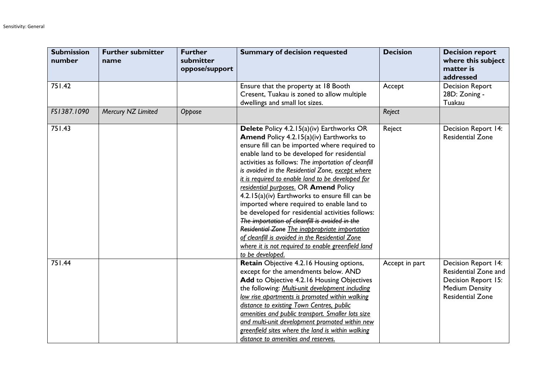| <b>Submission</b><br>number | <b>Further submitter</b><br>name | <b>Further</b><br>submitter<br>oppose/support | <b>Summary of decision requested</b>                                                                                                                                                                                                                                                                                                                                                                                                                                                                                                                                                                                                                                                                                                                                                      | <b>Decision</b> | <b>Decision report</b><br>where this subject<br>matter is<br>addressed                                                        |
|-----------------------------|----------------------------------|-----------------------------------------------|-------------------------------------------------------------------------------------------------------------------------------------------------------------------------------------------------------------------------------------------------------------------------------------------------------------------------------------------------------------------------------------------------------------------------------------------------------------------------------------------------------------------------------------------------------------------------------------------------------------------------------------------------------------------------------------------------------------------------------------------------------------------------------------------|-----------------|-------------------------------------------------------------------------------------------------------------------------------|
| 751.42                      |                                  |                                               | Ensure that the property at 18 Booth<br>Cresent, Tuakau is zoned to allow multiple<br>dwellings and small lot sizes.                                                                                                                                                                                                                                                                                                                                                                                                                                                                                                                                                                                                                                                                      | Accept          | <b>Decision Report</b><br>28D: Zoning -<br>Tuakau                                                                             |
| FS1387.1090                 | Mercury NZ Limited               | Oppose                                        |                                                                                                                                                                                                                                                                                                                                                                                                                                                                                                                                                                                                                                                                                                                                                                                           | Reject          |                                                                                                                               |
| 751.43                      |                                  |                                               | Delete Policy 4.2.15(a)(iv) Earthworks OR<br><b>Amend Policy 4.2.15(a)(iv) Earthworks to</b><br>ensure fill can be imported where required to<br>enable land to be developed for residential<br>activities as follows: The importation of cleanfill<br>is avoided in the Residential Zone, except where<br>it is required to enable land to be developed for<br>residential purposes. OR Amend Policy<br>4.2.15(a)(iv) Earthworks to ensure fill can be<br>imported where required to enable land to<br>be developed for residential activities follows:<br>The importation of cleanfill is avoided in the<br>Residential Zone The inappropriate importation<br>of cleanfill is avoided in the Residential Zone<br>where it is not required to enable greenfield land<br>to be developed. | Reject          | Decision Report 14:<br><b>Residential Zone</b>                                                                                |
| 751.44                      |                                  |                                               | Retain Objective 4.2.16 Housing options,<br>except for the amendments below. AND<br>Add to Objective 4.2.16 Housing Objectives<br>the following: Multi-unit development including<br>low rise apartments is promoted within walking<br>distance to existing Town Centres, public<br>amenities and public transport. Smaller lots size<br>and multi-unit development promoted within new<br>greenfield sites where the land is within walking<br>distance to amenities and reserves.                                                                                                                                                                                                                                                                                                       | Accept in part  | <b>Decision Report 14:</b><br>Residential Zone and<br>Decision Report 15:<br><b>Medium Density</b><br><b>Residential Zone</b> |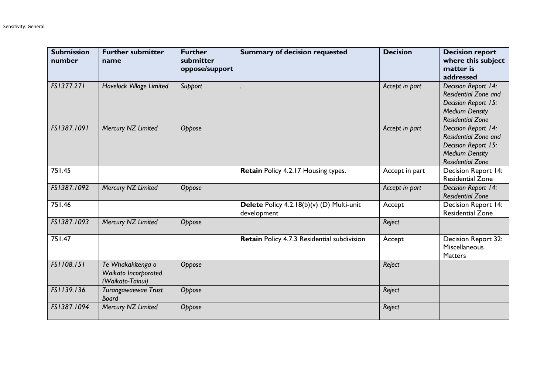| <b>Submission</b><br>number | <b>Further submitter</b><br>name                              | <b>Further</b><br>submitter<br>oppose/support | <b>Summary of decision requested</b>                     | <b>Decision</b> | <b>Decision report</b><br>where this subject<br>matter is<br>addressed                                                        |
|-----------------------------|---------------------------------------------------------------|-----------------------------------------------|----------------------------------------------------------|-----------------|-------------------------------------------------------------------------------------------------------------------------------|
| FS1377.271                  | Havelock Village Limited                                      | Support                                       |                                                          | Accept in part  | Decision Report 14:<br><b>Residential Zone and</b><br>Decision Report 15:<br><b>Medium Density</b><br><b>Residential Zone</b> |
| FS1387.1091                 | Mercury NZ Limited                                            | Oppose                                        |                                                          | Accept in part  | Decision Report 14:<br><b>Residential Zone and</b><br>Decision Report 15:<br><b>Medium Density</b><br><b>Residential Zone</b> |
| 751.45                      |                                                               |                                               | Retain Policy 4.2.17 Housing types.                      | Accept in part  | Decision Report 14:<br><b>Residential Zone</b>                                                                                |
| FS1387.1092                 | Mercury NZ Limited                                            | Oppose                                        |                                                          | Accept in part  | Decision Report 14:<br><b>Residential Zone</b>                                                                                |
| 751.46                      |                                                               |                                               | Delete Policy 4.2.18(b)(v) (D) Multi-unit<br>development | Accept          | Decision Report 14:<br><b>Residential Zone</b>                                                                                |
| FS1387.1093                 | Mercury NZ Limited                                            | Oppose                                        |                                                          | Reject          |                                                                                                                               |
| 751.47                      |                                                               |                                               | Retain Policy 4.7.3 Residential subdivision              | Accept          | Decision Report 32:<br>Miscellaneous<br>Matters                                                                               |
| FS1108.151                  | Te Whakakitenga o<br>Waikato Incorporated<br>(Waikato-Tainui) | Oppose                                        |                                                          | Reject          |                                                                                                                               |
| FS1139.136                  | Turangawaewae Trust<br><b>Board</b>                           | Oppose                                        |                                                          | Reject          |                                                                                                                               |
| FS1387.1094                 | Mercury NZ Limited                                            | Oppose                                        |                                                          | Reject          |                                                                                                                               |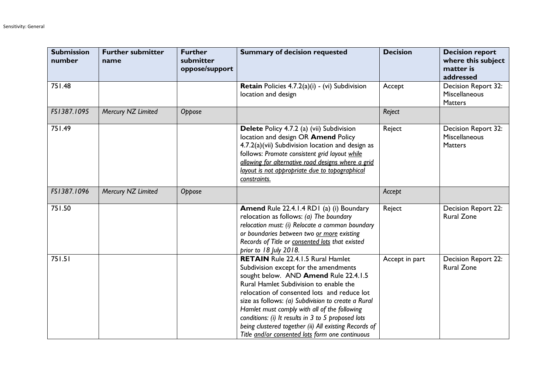| <b>Submission</b><br>number | <b>Further submitter</b><br>name | <b>Further</b><br>submitter<br>oppose/support | <b>Summary of decision requested</b>                                                                                                                                                                                                                                                                                                                                                                                                                                                        | <b>Decision</b> | <b>Decision report</b><br>where this subject<br>matter is<br>addressed |
|-----------------------------|----------------------------------|-----------------------------------------------|---------------------------------------------------------------------------------------------------------------------------------------------------------------------------------------------------------------------------------------------------------------------------------------------------------------------------------------------------------------------------------------------------------------------------------------------------------------------------------------------|-----------------|------------------------------------------------------------------------|
| 751.48                      |                                  |                                               | Retain Policies 4.7.2(a)(i) - (vi) Subdivision<br>location and design                                                                                                                                                                                                                                                                                                                                                                                                                       | Accept          | Decision Report 32:<br>Miscellaneous<br><b>Matters</b>                 |
| FS1387.1095                 | Mercury NZ Limited               | Oppose                                        |                                                                                                                                                                                                                                                                                                                                                                                                                                                                                             | Reject          |                                                                        |
| 751.49                      |                                  |                                               | Delete Policy 4.7.2 (a) (vii) Subdivision<br>location and design OR Amend Policy<br>4.7.2(a)(vii) Subdivision location and design as<br>follows: Promote consistent grid layout while<br>allowing for alternative road designs where a grid<br>layout is not appropriate due to topographical<br>constraints.                                                                                                                                                                               | Reject          | Decision Report 32:<br>Miscellaneous<br><b>Matters</b>                 |
| FS1387.1096                 | Mercury NZ Limited               | Oppose                                        |                                                                                                                                                                                                                                                                                                                                                                                                                                                                                             | Accept          |                                                                        |
| 751.50                      |                                  |                                               | Amend Rule 22.4.1.4 RD1 (a) (i) Boundary<br>relocation as follows: $(a)$ The boundary<br>relocation must: (i) Relocate a common boundary<br>or boundaries between two or more existing<br>Records of Title or consented lots that existed<br>prior to 18 July 2018.                                                                                                                                                                                                                         | Reject          | Decision Report 22:<br><b>Rural Zone</b>                               |
| 751.51                      |                                  |                                               | <b>RETAIN</b> Rule 22.4.1.5 Rural Hamlet<br>Subdivision except for the amendments<br>sought below. AND Amend Rule 22.4.1.5<br>Rural Hamlet Subdivision to enable the<br>relocation of consented lots and reduce lot<br>size as follows: (a) Subdivision to create a Rural<br>Hamlet must comply with all of the following<br>conditions: (i) It results in 3 to 5 proposed lots<br>being clustered together (ii) All existing Records of<br>Title and/or consented lots form one continuous | Accept in part  | Decision Report 22:<br><b>Rural Zone</b>                               |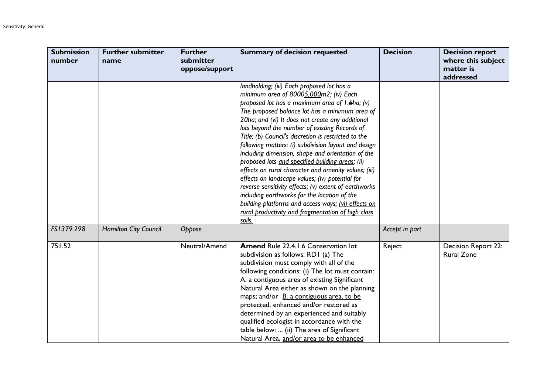| <b>Submission</b><br>number | <b>Further submitter</b><br>name | <b>Further</b><br>submitter<br>oppose/support | <b>Summary of decision requested</b>                                                                                                                                                                                                                                                                                                                                                                                                                                                                                                                                                                                                                                                                                                                                                                                                                             | <b>Decision</b> | <b>Decision report</b><br>where this subject<br>matter is<br>addressed |
|-----------------------------|----------------------------------|-----------------------------------------------|------------------------------------------------------------------------------------------------------------------------------------------------------------------------------------------------------------------------------------------------------------------------------------------------------------------------------------------------------------------------------------------------------------------------------------------------------------------------------------------------------------------------------------------------------------------------------------------------------------------------------------------------------------------------------------------------------------------------------------------------------------------------------------------------------------------------------------------------------------------|-----------------|------------------------------------------------------------------------|
|                             |                                  |                                               | landholding; (iii) Each proposed lot has a<br>minimum area of 80005,000m2; (iv) Each<br>proposed lot has a maximum area of I.6ha; (v)<br>The proposed balance lot has a minimum area of<br>20ha; and (vi) It does not create any additional<br>lots beyond the number of existing Records of<br>Title; (b) Council's discretion is restricted to the<br>following matters: (i) subdivision layout and design<br>including dimension, shape and orientation of the<br>proposed lots and specified building areas; (ii)<br>effects on rural character and amenity values; (iii)<br>effects on landscape values; (iv) potential for<br>reverse sensitivity effects; (v) extent of earthworks<br>including earthworks for the location of the<br>building platforms and access ways; (vi) effects on<br>rural productivity and fragmentation of high class<br>soils. |                 |                                                                        |
| FS1379.298                  | Hamilton City Council            | Oppose                                        |                                                                                                                                                                                                                                                                                                                                                                                                                                                                                                                                                                                                                                                                                                                                                                                                                                                                  | Accept in part  |                                                                        |
| 751.52                      |                                  | Neutral/Amend                                 | Amend Rule 22.4.1.6 Conservation lot<br>subdivision as follows: RD1 (a) The<br>subdivision must comply with all of the<br>following conditions: (i) The lot must contain:<br>A. a contiguous area of existing Significant<br>Natural Area either as shown on the planning<br>maps; and/or B. a contiguous area, to be<br>protected, enhanced and/or restored as<br>determined by an experienced and suitably<br>qualified ecologist in accordance with the<br>table below:  (ii) The area of Significant<br>Natural Area, and/or area to be enhanced                                                                                                                                                                                                                                                                                                             | Reject          | <b>Decision Report 22:</b><br><b>Rural Zone</b>                        |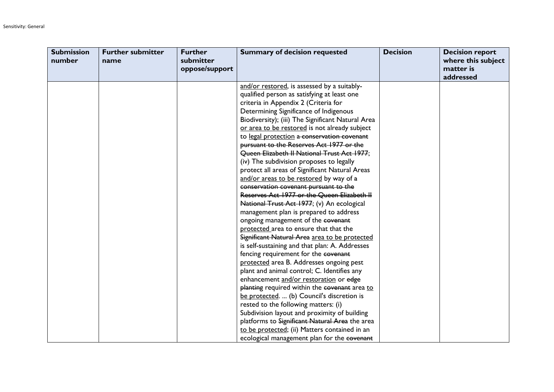| <b>Submission</b><br>number | <b>Further submitter</b><br>name | <b>Further</b><br>submitter<br>oppose/support | <b>Summary of decision requested</b>              | <b>Decision</b> | <b>Decision report</b><br>where this subject<br>matter is<br>addressed |
|-----------------------------|----------------------------------|-----------------------------------------------|---------------------------------------------------|-----------------|------------------------------------------------------------------------|
|                             |                                  |                                               | and/or restored, is assessed by a suitably-       |                 |                                                                        |
|                             |                                  |                                               | qualified person as satisfying at least one       |                 |                                                                        |
|                             |                                  |                                               | criteria in Appendix 2 (Criteria for              |                 |                                                                        |
|                             |                                  |                                               | Determining Significance of Indigenous            |                 |                                                                        |
|                             |                                  |                                               | Biodiversity); (iii) The Significant Natural Area |                 |                                                                        |
|                             |                                  |                                               | or area to be restored is not already subject     |                 |                                                                        |
|                             |                                  |                                               | to legal protection a conservation covenant       |                 |                                                                        |
|                             |                                  |                                               | pursuant to the Reserves Act 1977 or the          |                 |                                                                        |
|                             |                                  |                                               | Queen Elizabeth II National Trust Act 1977;       |                 |                                                                        |
|                             |                                  |                                               | (iv) The subdivision proposes to legally          |                 |                                                                        |
|                             |                                  |                                               | protect all areas of Significant Natural Areas    |                 |                                                                        |
|                             |                                  |                                               | and/or areas to be restored by way of a           |                 |                                                                        |
|                             |                                  |                                               | conservation covenant pursuant to the             |                 |                                                                        |
|                             |                                  |                                               | Reserves Act 1977 or the Queen Elizabeth II       |                 |                                                                        |
|                             |                                  |                                               | National Trust Act 1977; (v) An ecological        |                 |                                                                        |
|                             |                                  |                                               | management plan is prepared to address            |                 |                                                                        |
|                             |                                  |                                               | ongoing management of the covenant                |                 |                                                                        |
|                             |                                  |                                               | protected area to ensure that that the            |                 |                                                                        |
|                             |                                  |                                               | Significant Natural Area area to be protected     |                 |                                                                        |
|                             |                                  |                                               | is self-sustaining and that plan: A. Addresses    |                 |                                                                        |
|                             |                                  |                                               | fencing requirement for the covenant              |                 |                                                                        |
|                             |                                  |                                               | protected area B. Addresses ongoing pest          |                 |                                                                        |
|                             |                                  |                                               | plant and animal control; C. Identifies any       |                 |                                                                        |
|                             |                                  |                                               | enhancement and/or restoration or edge            |                 |                                                                        |
|                             |                                  |                                               | planting required within the covenant area to     |                 |                                                                        |
|                             |                                  |                                               | be protected.  (b) Council's discretion is        |                 |                                                                        |
|                             |                                  |                                               | rested to the following matters: (i)              |                 |                                                                        |
|                             |                                  |                                               | Subdivision layout and proximity of building      |                 |                                                                        |
|                             |                                  |                                               | platforms to Significant Natural Area the area    |                 |                                                                        |
|                             |                                  |                                               | to be protected; (ii) Matters contained in an     |                 |                                                                        |
|                             |                                  |                                               | ecological management plan for the covenant       |                 |                                                                        |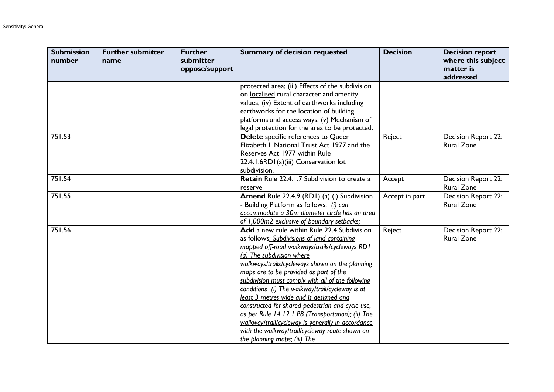| <b>Submission</b><br>number | <b>Further submitter</b><br>name | <b>Further</b><br>submitter<br>oppose/support | <b>Summary of decision requested</b>                                                                                                                                                                                                                                                                                                                                                                                                                                                                                                                                                                                                                                     | <b>Decision</b> | <b>Decision report</b><br>where this subject<br>matter is<br>addressed |
|-----------------------------|----------------------------------|-----------------------------------------------|--------------------------------------------------------------------------------------------------------------------------------------------------------------------------------------------------------------------------------------------------------------------------------------------------------------------------------------------------------------------------------------------------------------------------------------------------------------------------------------------------------------------------------------------------------------------------------------------------------------------------------------------------------------------------|-----------------|------------------------------------------------------------------------|
|                             |                                  |                                               | protected area; (iii) Effects of the subdivision<br>on localised rural character and amenity<br>values; (iv) Extent of earthworks including<br>earthworks for the location of building<br>platforms and access ways. (v) Mechanism of<br>legal protection for the area to be protected.                                                                                                                                                                                                                                                                                                                                                                                  |                 |                                                                        |
| 751.53                      |                                  |                                               | Delete specific references to Queen<br>Elizabeth II National Trust Act 1977 and the<br>Reserves Act 1977 within Rule<br>22.4.1.6RD1(a)(iii) Conservation lot<br>subdivision.                                                                                                                                                                                                                                                                                                                                                                                                                                                                                             | Reject          | <b>Decision Report 22:</b><br><b>Rural Zone</b>                        |
| 751.54                      |                                  |                                               | <b>Retain</b> Rule 22.4.1.7 Subdivision to create a<br>reserve                                                                                                                                                                                                                                                                                                                                                                                                                                                                                                                                                                                                           | Accept          | Decision Report 22:<br><b>Rural Zone</b>                               |
| 751.55                      |                                  |                                               | Amend Rule 22.4.9 (RDI) (a) (i) Subdivision<br>- Building Platform as follows: (i) can<br>accommodate a 30m diameter circle has an area<br>of 1,000m2 exclusive of boundary setbacks;                                                                                                                                                                                                                                                                                                                                                                                                                                                                                    | Accept in part  | Decision Report 22:<br><b>Rural Zone</b>                               |
| 751.56                      |                                  |                                               | Add a new rule within Rule 22.4 Subdivision<br>as follows: Subdivisions of land containing<br>mapped off-road walkways/trails/cycleways RD1<br>(a) The subdivision where<br>walkways/trails/cycleways shown on the planning<br>maps are to be provided as part of the<br>subdivision must comply with all of the following<br>conditions (i) The walkway/trail/cycleway is at<br>least 3 metres wide and is designed and<br>constructed for shared pedestrian and cycle use.<br>as per Rule 14.12.1 P8 (Transportation); (ii) The<br>walkway/trail/cycleway is generally in accordance<br>with the walkway/trail/cycleway route shown on<br>the planning maps; (iii) The | Reject          | Decision Report 22:<br><b>Rural Zone</b>                               |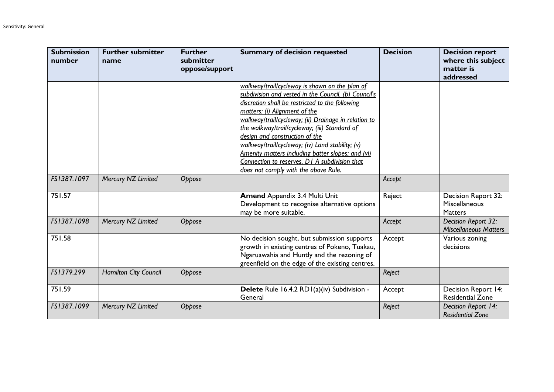| <b>Submission</b><br>number | <b>Further submitter</b><br>name | <b>Further</b><br>submitter<br>oppose/support | <b>Summary of decision requested</b>                                                                                                                                                                                                                                                                                                                                                                                                                                                                                                    | <b>Decision</b> | <b>Decision report</b><br>where this subject<br>matter is<br>addressed |
|-----------------------------|----------------------------------|-----------------------------------------------|-----------------------------------------------------------------------------------------------------------------------------------------------------------------------------------------------------------------------------------------------------------------------------------------------------------------------------------------------------------------------------------------------------------------------------------------------------------------------------------------------------------------------------------------|-----------------|------------------------------------------------------------------------|
|                             |                                  |                                               | walkway/trail/cycleway is shown on the plan of<br>subdivision and vested in the Council. (b) Council's<br>discretion shall be restricted to the following<br>matters: (i) Alignment of the<br>walkway/trail/cycleway; (ii) Drainage in relation to<br>the walkway/trail/cycleway; (iii) Standard of<br>design and construction of the<br>walkway/trail/cycleway; (iv) Land stability; (v)<br>Amenity matters including batter slopes; and (vi)<br>Connection to reserves. D1 A subdivision that<br>does not comply with the above Rule. |                 |                                                                        |
| FS1387.1097                 | Mercury NZ Limited               | Oppose                                        |                                                                                                                                                                                                                                                                                                                                                                                                                                                                                                                                         | Accept          |                                                                        |
| 751.57                      |                                  |                                               | <b>Amend Appendix 3.4 Multi Unit</b><br>Development to recognise alternative options<br>may be more suitable.                                                                                                                                                                                                                                                                                                                                                                                                                           | Reject          | Decision Report 32:<br>Miscellaneous<br>Matters                        |
| FS1387.1098                 | Mercury NZ Limited               | Oppose                                        |                                                                                                                                                                                                                                                                                                                                                                                                                                                                                                                                         | Accept          | Decision Report 32:<br><b>Miscellaneous Matters</b>                    |
| 751.58                      |                                  |                                               | No decision sought, but submission supports<br>growth in existing centres of Pokeno, Tuakau,<br>Ngaruawahia and Huntly and the rezoning of<br>greenfield on the edge of the existing centres.                                                                                                                                                                                                                                                                                                                                           | Accept          | Various zoning<br>decisions                                            |
| FS1379.299                  | Hamilton City Council            | Oppose                                        |                                                                                                                                                                                                                                                                                                                                                                                                                                                                                                                                         | Reject          |                                                                        |
| 751.59                      |                                  |                                               | Delete Rule 16.4.2 RD1(a)(iv) Subdivision -<br>General                                                                                                                                                                                                                                                                                                                                                                                                                                                                                  | Accept          | <b>Decision Report 14:</b><br><b>Residential Zone</b>                  |
| FS1387.1099                 | Mercury NZ Limited               | Oppose                                        |                                                                                                                                                                                                                                                                                                                                                                                                                                                                                                                                         | Reject          | Decision Report 14:<br><b>Residential Zone</b>                         |